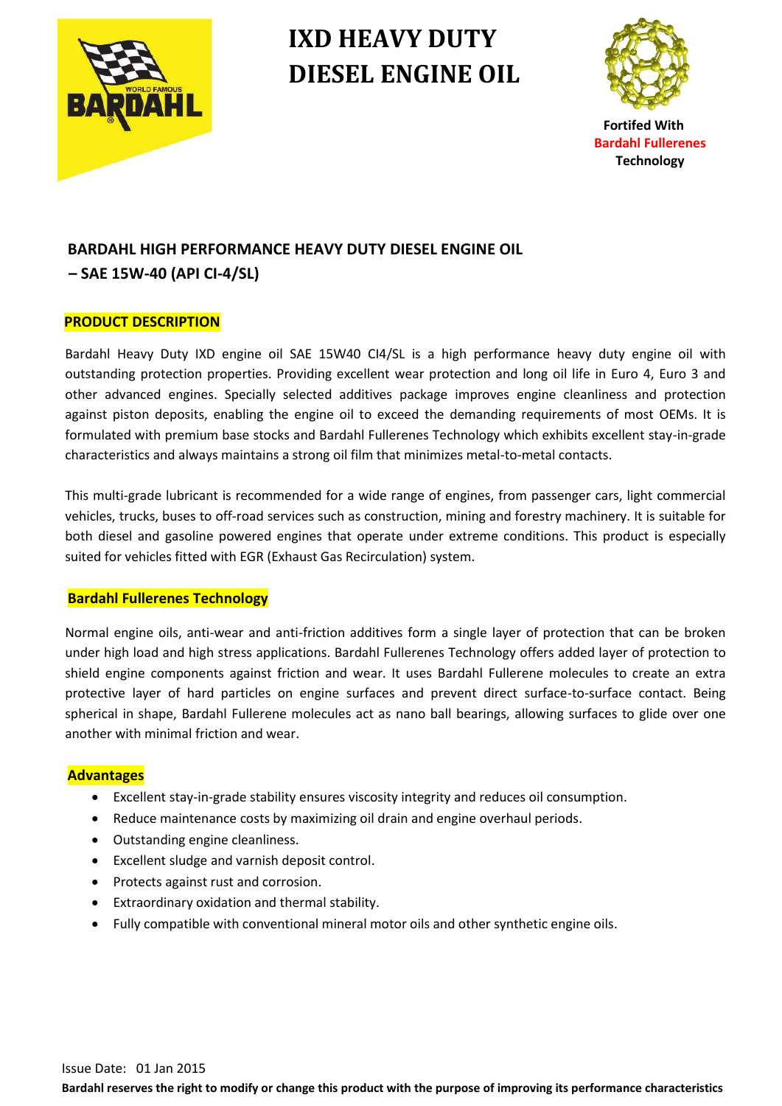

# **IXD HEAVY DUTY DIESEL ENGINE OIL**



**Bardahl Fullerenes Technology**

## **BARDAHL HIGH PERFORMANCE HEAVY DUTY DIESEL ENGINE OIL – SAE 15W-40 (API CI-4/SL)**

#### **PRODUCT DESCRIPTION**

Bardahl Heavy Duty IXD engine oil SAE 15W40 CI4/SL is a high performance heavy duty engine oil with outstanding protection properties. Providing excellent wear protection and long oil life in Euro 4, Euro 3 and other advanced engines. Specially selected additives package improves engine cleanliness and protection against piston deposits, enabling the engine oil to exceed the demanding requirements of most OEMs. It is formulated with premium base stocks and Bardahl Fullerenes Technology which exhibits excellent stay-in-grade characteristics and always maintains a strong oil film that minimizes metal-to-metal contacts.

This multi-grade lubricant is recommended for a wide range of engines, from passenger cars, light commercial vehicles, trucks, buses to off-road services such as construction, mining and forestry machinery. It is suitable for both diesel and gasoline powered engines that operate under extreme conditions. This product is especially suited for vehicles fitted with EGR (Exhaust Gas Recirculation) system.

#### **Bardahl Fullerenes Technology**

Normal engine oils, anti-wear and anti-friction additives form a single layer of protection that can be broken under high load and high stress applications. Bardahl Fullerenes Technology offers added layer of protection to shield engine components against friction and wear. It uses Bardahl Fullerene molecules to create an extra protective layer of hard particles on engine surfaces and prevent direct surface-to-surface contact. Being spherical in shape, Bardahl Fullerene molecules act as nano ball bearings, allowing surfaces to glide over one another with minimal friction and wear.

#### **Advantages**

- Excellent stay-in-grade stability ensures viscosity integrity and reduces oil consumption.
- Reduce maintenance costs by maximizing oil drain and engine overhaul periods.
- Outstanding engine cleanliness.
- Excellent sludge and varnish deposit control.
- Protects against rust and corrosion.
- Extraordinary oxidation and thermal stability.
- Fully compatible with conventional mineral motor oils and other synthetic engine oils.